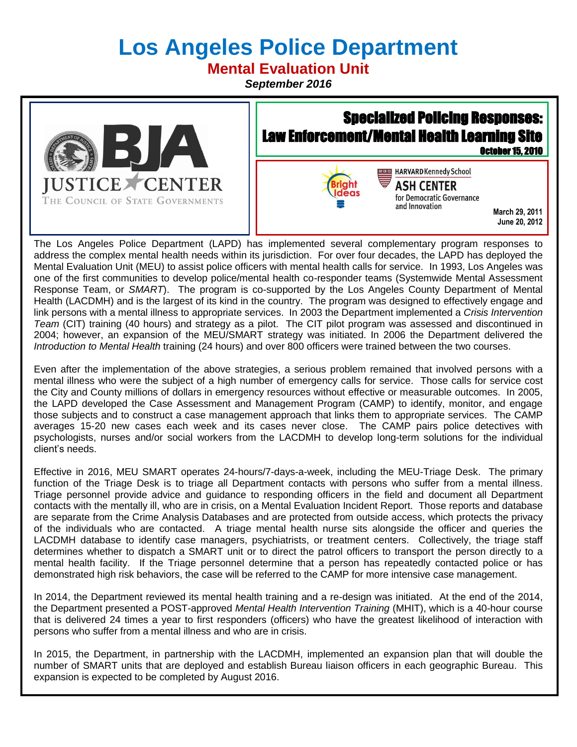# **Los Angeles Police Department**

**Mental Evaluation Unit**

*September 2016*





The Los Angeles Police Department (LAPD) has implemented several complementary program responses to address the complex mental health needs within its jurisdiction. For over four decades, the LAPD has deployed the Mental Evaluation Unit (MEU) to assist police officers with mental health calls for service. In 1993, Los Angeles was one of the first communities to develop police/mental health co-responder teams (Systemwide Mental Assessment Response Team, or *SMART*). The program is co-supported by the Los Angeles County Department of Mental Health (LACDMH) and is the largest of its kind in the country. The program was designed to effectively engage and link persons with a mental illness to appropriate services. In 2003 the Department implemented a *Crisis Intervention Team* (CIT) training (40 hours) and strategy as a pilot. The CIT pilot program was assessed and discontinued in 2004; however, an expansion of the MEU/SMART strategy was initiated. In 2006 the Department delivered the *Introduction to Mental Health* training (24 hours) and over 800 officers were trained between the two courses.

Even after the implementation of the above strategies, a serious problem remained that involved persons with a mental illness who were the subject of a high number of emergency calls for service. Those calls for service cost the City and County millions of dollars in emergency resources without effective or measurable outcomes. In 2005, the LAPD developed the Case Assessment and Management Program (CAMP) to identify, monitor, and engage those subjects and to construct a case management approach that links them to appropriate services. The CAMP averages 15-20 new cases each week and its cases never close. The CAMP pairs police detectives with psychologists, nurses and/or social workers from the LACDMH to develop long-term solutions for the individual client's needs.

Effective in 2016, MEU SMART operates 24-hours/7-days-a-week, including the MEU-Triage Desk. The primary function of the Triage Desk is to triage all Department contacts with persons who suffer from a mental illness. Triage personnel provide advice and guidance to responding officers in the field and document all Department contacts with the mentally ill, who are in crisis, on a Mental Evaluation Incident Report. Those reports and database are separate from the Crime Analysis Databases and are protected from outside access, which protects the privacy of the individuals who are contacted. A triage mental health nurse sits alongside the officer and queries the LACDMH database to identify case managers, psychiatrists, or treatment centers. Collectively, the triage staff determines whether to dispatch a SMART unit or to direct the patrol officers to transport the person directly to a mental health facility. If the Triage personnel determine that a person has repeatedly contacted police or has demonstrated high risk behaviors, the case will be referred to the CAMP for more intensive case management.

In 2014, the Department reviewed its mental health training and a re-design was initiated. At the end of the 2014, the Department presented a POST-approved *Mental Health Intervention Training* (MHIT), which is a 40-hour course that is delivered 24 times a year to first responders (officers) who have the greatest likelihood of interaction with persons who suffer from a mental illness and who are in crisis.

In 2015, the Department, in partnership with the LACDMH, implemented an expansion plan that will double the number of SMART units that are deployed and establish Bureau liaison officers in each geographic Bureau. This expansion is expected to be completed by August 2016.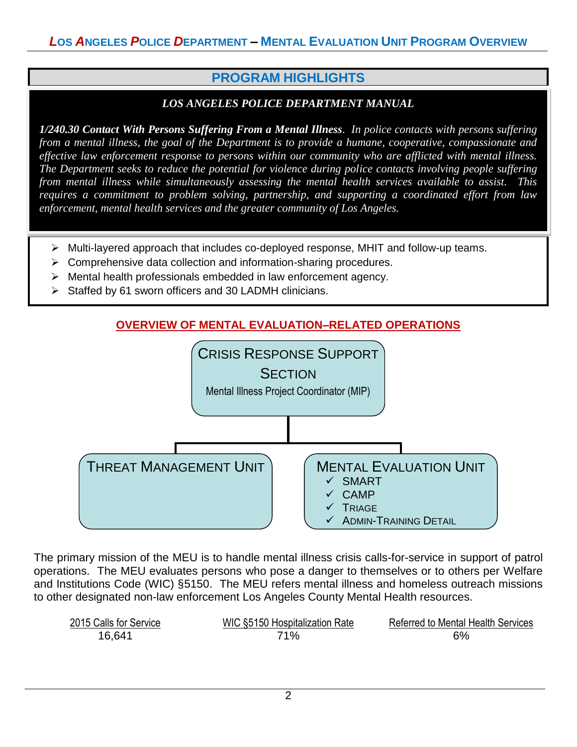# **PROGRAM HIGHLIGHTS**

## *LOS ANGELES POLICE DEPARTMENT MANUAL*

*1/240.30 Contact With Persons Suffering From a Mental Illness. In police contacts with persons suffering from a mental illness, the goal of the Department is to provide a humane, cooperative, compassionate and effective law enforcement response to persons within our community who are afflicted with mental illness. The Department seeks to reduce the potential for violence during police contacts involving people suffering from mental illness while simultaneously assessing the mental health services available to assist. This requires a commitment to problem solving, partnership, and supporting a coordinated effort from law enforcement, mental health services and the greater community of Los Angeles.*

- Multi-layered approach that includes co-deployed response, MHIT and follow-up teams.
- $\triangleright$  Comprehensive data collection and information-sharing procedures.
- $\triangleright$  Mental health professionals embedded in law enforcement agency.
- $\triangleright$  Staffed by 61 sworn officers and 30 LADMH clinicians.



The primary mission of the MEU is to handle mental illness crisis calls-for-service in support of patrol operations. The MEU evaluates persons who pose a danger to themselves or to others per Welfare and Institutions Code (WIC) §5150. The MEU refers mental illness and homeless outreach missions to other designated non-law enforcement Los Angeles County Mental Health resources.

| 2015 Calls for Service | WIC §5150 Hospitalization Rate | <b>Referred to Mental Health Services</b> |
|------------------------|--------------------------------|-------------------------------------------|
| 16.641                 | 71%                            | 6%                                        |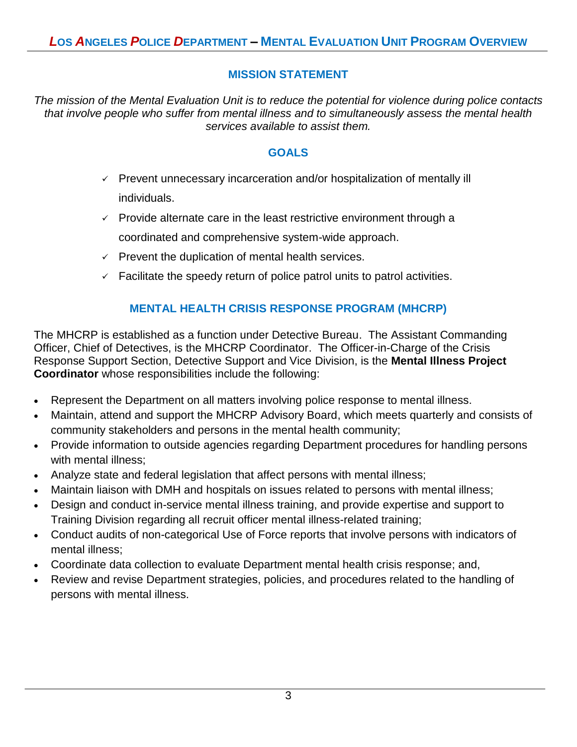## **MISSION STATEMENT**

*The mission of the Mental Evaluation Unit is to reduce the potential for violence during police contacts that involve people who suffer from mental illness and to simultaneously assess the mental health services available to assist them.*

#### **GOALS**

- $\checkmark$  Prevent unnecessary incarceration and/or hospitalization of mentally ill individuals.
- $\checkmark$  Provide alternate care in the least restrictive environment through a coordinated and comprehensive system-wide approach.
- $\checkmark$  Prevent the duplication of mental health services.
- $\checkmark$  Facilitate the speedy return of police patrol units to patrol activities.

## **MENTAL HEALTH CRISIS RESPONSE PROGRAM (MHCRP)**

The MHCRP is established as a function under Detective Bureau. The Assistant Commanding Officer, Chief of Detectives, is the MHCRP Coordinator. The Officer-in-Charge of the Crisis Response Support Section, Detective Support and Vice Division, is the **Mental Illness Project Coordinator** whose responsibilities include the following:

- Represent the Department on all matters involving police response to mental illness.
- Maintain, attend and support the MHCRP Advisory Board, which meets quarterly and consists of community stakeholders and persons in the mental health community;
- Provide information to outside agencies regarding Department procedures for handling persons with mental illness;
- Analyze state and federal legislation that affect persons with mental illness;
- Maintain liaison with DMH and hospitals on issues related to persons with mental illness;
- Design and conduct in-service mental illness training, and provide expertise and support to Training Division regarding all recruit officer mental illness-related training;
- Conduct audits of non-categorical Use of Force reports that involve persons with indicators of mental illness;
- Coordinate data collection to evaluate Department mental health crisis response; and,
- Review and revise Department strategies, policies, and procedures related to the handling of persons with mental illness.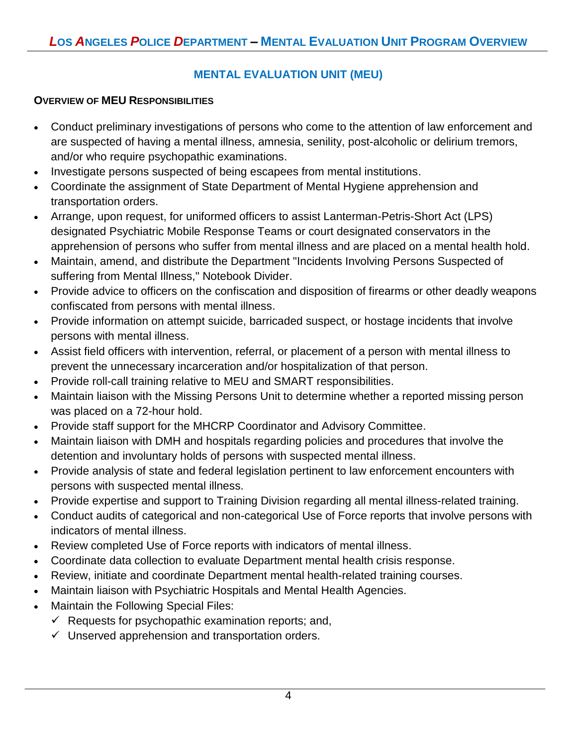# **MENTAL EVALUATION UNIT (MEU)**

# **OVERVIEW OF MEU RESPONSIBILITIES**

- Conduct preliminary investigations of persons who come to the attention of law enforcement and are suspected of having a mental illness, amnesia, senility, post-alcoholic or delirium tremors, and/or who require psychopathic examinations.
- Investigate persons suspected of being escapees from mental institutions.
- Coordinate the assignment of State Department of Mental Hygiene apprehension and transportation orders.
- Arrange, upon request, for uniformed officers to assist Lanterman-Petris-Short Act (LPS) designated Psychiatric Mobile Response Teams or court designated conservators in the apprehension of persons who suffer from mental illness and are placed on a mental health hold.
- Maintain, amend, and distribute the Department "Incidents Involving Persons Suspected of suffering from Mental Illness," Notebook Divider.
- Provide advice to officers on the confiscation and disposition of firearms or other deadly weapons confiscated from persons with mental illness.
- Provide information on attempt suicide, barricaded suspect, or hostage incidents that involve persons with mental illness.
- Assist field officers with intervention, referral, or placement of a person with mental illness to prevent the unnecessary incarceration and/or hospitalization of that person.
- Provide roll-call training relative to MEU and SMART responsibilities.
- Maintain liaison with the Missing Persons Unit to determine whether a reported missing person was placed on a 72-hour hold.
- Provide staff support for the MHCRP Coordinator and Advisory Committee.
- Maintain liaison with DMH and hospitals regarding policies and procedures that involve the detention and involuntary holds of persons with suspected mental illness.
- Provide analysis of state and federal legislation pertinent to law enforcement encounters with persons with suspected mental illness.
- Provide expertise and support to Training Division regarding all mental illness-related training.
- Conduct audits of categorical and non-categorical Use of Force reports that involve persons with indicators of mental illness.
- Review completed Use of Force reports with indicators of mental illness.
- Coordinate data collection to evaluate Department mental health crisis response.
- Review, initiate and coordinate Department mental health-related training courses.
- Maintain liaison with Psychiatric Hospitals and Mental Health Agencies.
- Maintain the Following Special Files:
	- $\checkmark$  Requests for psychopathic examination reports; and,
	- $\checkmark$  Unserved apprehension and transportation orders.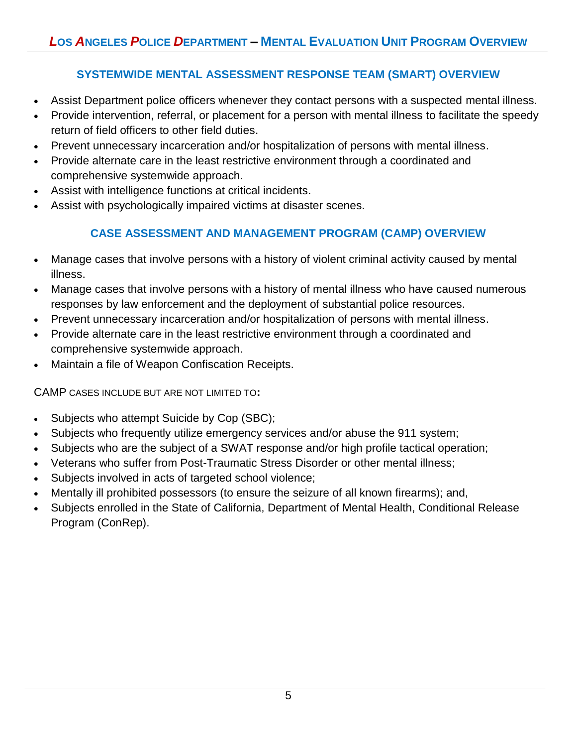# **SYSTEMWIDE MENTAL ASSESSMENT RESPONSE TEAM (SMART) OVERVIEW**

- Assist Department police officers whenever they contact persons with a suspected mental illness.
- Provide intervention, referral, or placement for a person with mental illness to facilitate the speedy return of field officers to other field duties.
- Prevent unnecessary incarceration and/or hospitalization of persons with mental illness.
- Provide alternate care in the least restrictive environment through a coordinated and comprehensive systemwide approach.
- Assist with intelligence functions at critical incidents.
- Assist with psychologically impaired victims at disaster scenes.

# **CASE ASSESSMENT AND MANAGEMENT PROGRAM (CAMP) OVERVIEW**

- Manage cases that involve persons with a history of violent criminal activity caused by mental illness.
- Manage cases that involve persons with a history of mental illness who have caused numerous responses by law enforcement and the deployment of substantial police resources.
- Prevent unnecessary incarceration and/or hospitalization of persons with mental illness.
- Provide alternate care in the least restrictive environment through a coordinated and comprehensive systemwide approach.
- Maintain a file of Weapon Confiscation Receipts.

CAMP CASES INCLUDE BUT ARE NOT LIMITED TO**:**

- Subjects who attempt Suicide by Cop (SBC);
- Subjects who frequently utilize emergency services and/or abuse the 911 system;
- Subjects who are the subject of a SWAT response and/or high profile tactical operation;
- Veterans who suffer from Post-Traumatic Stress Disorder or other mental illness;
- Subjects involved in acts of targeted school violence;
- Mentally ill prohibited possessors (to ensure the seizure of all known firearms); and,
- Subjects enrolled in the State of California, Department of Mental Health, Conditional Release Program (ConRep).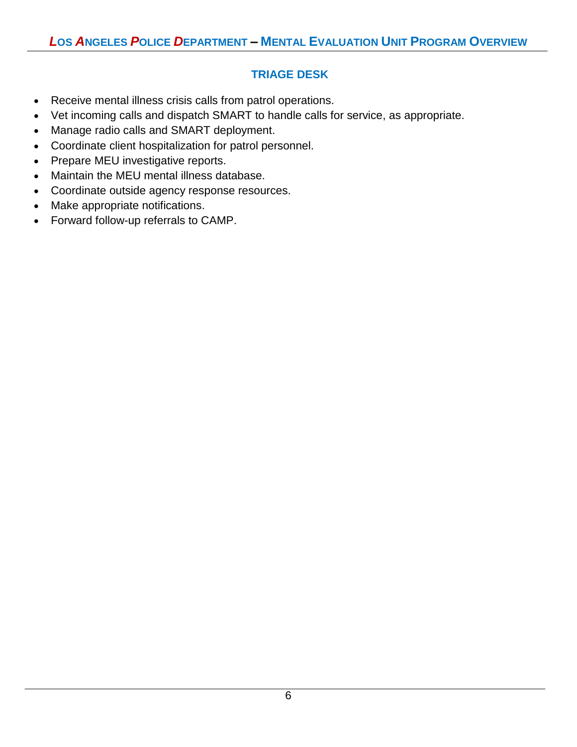# **TRIAGE DESK**

- Receive mental illness crisis calls from patrol operations.
- Vet incoming calls and dispatch SMART to handle calls for service, as appropriate.
- Manage radio calls and SMART deployment.
- Coordinate client hospitalization for patrol personnel.
- Prepare MEU investigative reports.
- Maintain the MEU mental illness database.
- Coordinate outside agency response resources.
- Make appropriate notifications.
- Forward follow-up referrals to CAMP.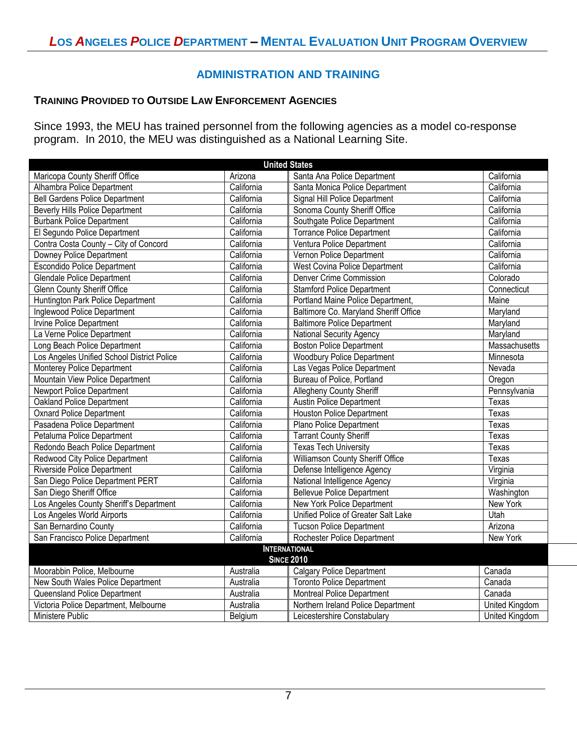### **ADMINISTRATION AND TRAINING**

#### **TRAINING PROVIDED TO OUTSIDE LAW ENFORCEMENT AGENCIES**

Since 1993, the MEU has trained personnel from the following agencies as a model co-response program. In 2010, the MEU was distinguished as a National Learning Site.

|                                            |            | <b>United States</b>                  |                      |
|--------------------------------------------|------------|---------------------------------------|----------------------|
| Maricopa County Sheriff Office             | Arizona    | Santa Ana Police Department           | California           |
| Alhambra Police Department                 | California | Santa Monica Police Department        | California           |
| <b>Bell Gardens Police Department</b>      | California | Signal Hill Police Department         | California           |
| <b>Beverly Hills Police Department</b>     | California | Sonoma County Sheriff Office          | California           |
| <b>Burbank Police Department</b>           | California | Southgate Police Department           | California           |
| El Segundo Police Department               | California | <b>Torrance Police Department</b>     | California           |
| Contra Costa County - City of Concord      | California | Ventura Police Department             | California           |
| Downey Police Department                   | California | Vernon Police Department              | California           |
| <b>Escondido Police Department</b>         | California | West Covina Police Department         | California           |
| <b>Glendale Police Department</b>          | California | Denver Crime Commission               | Colorado             |
| <b>Glenn County Sheriff Office</b>         | California | <b>Stamford Police Department</b>     | Connecticut          |
| Huntington Park Police Department          | California | Portland Maine Police Department,     | Maine                |
| Inglewood Police Department                | California | Baltimore Co. Maryland Sheriff Office | Maryland             |
| <b>Irvine Police Department</b>            | California | <b>Baltimore Police Department</b>    | Maryland             |
| La Verne Police Department                 | California | <b>National Security Agency</b>       | Maryland             |
| Long Beach Police Department               | California | Boston Police Department              | <b>Massachusetts</b> |
| Los Angeles Unified School District Police | California | <b>Woodbury Police Department</b>     | Minnesota            |
| Monterey Police Department                 | California | Las Vegas Police Department           | Nevada               |
| Mountain View Police Department            | California | Bureau of Police, Portland            | Oregon               |
| Newport Police Department                  | California | <b>Allegheny County Sheriff</b>       | Pennsylvania         |
| <b>Oakland Police Department</b>           | California | <b>Austin Police Department</b>       | Texas                |
| Oxnard Police Department                   | California | <b>Houston Police Department</b>      | Texas                |
| Pasadena Police Department                 | California | Plano Police Department               | Texas                |
| Petaluma Police Department                 | California | <b>Tarrant County Sheriff</b>         | Texas                |
| Redondo Beach Police Department            | California | <b>Texas Tech University</b>          | Texas                |
| Redwood City Police Department             | California | Williamson County Sheriff Office      | Texas                |
| <b>Riverside Police Department</b>         | California | Defense Intelligence Agency           | Virginia             |
| San Diego Police Department PERT           | California | National Intelligence Agency          | Virginia             |
| San Diego Sheriff Office                   | California | <b>Bellevue Police Department</b>     | Washington           |
| Los Angeles County Sheriff's Department    | California | New York Police Department            | <b>New York</b>      |
| Los Angeles World Airports                 | California | Unified Police of Greater Salt Lake   | Utah                 |
| San Bernardino County                      | California | <b>Tucson Police Department</b>       | Arizona              |
| San Francisco Police Department            | California | Rochester Police Department           | New York             |
|                                            |            | <b>INTERNATIONAL</b>                  |                      |
|                                            |            | <b>SINCE 2010</b>                     |                      |
| Moorabbin Police, Melbourne                | Australia  | <b>Calgary Police Department</b>      | Canada               |
| New South Wales Police Department          | Australia  | <b>Toronto Police Department</b>      | Canada               |
| Queensland Police Department               | Australia  | <b>Montreal Police Department</b>     | Canada               |
| Victoria Police Department, Melbourne      | Australia  | Northern Ireland Police Department    | United Kingdom       |
| Ministere Public                           | Belgium    | Leicestershire Constabulary           | United Kingdom       |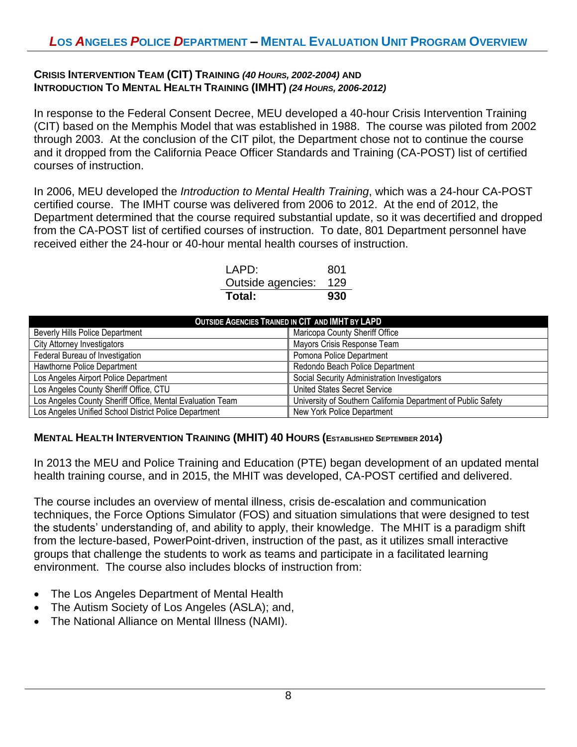#### **CRISIS INTERVENTION TEAM (CIT) TRAINING** *(40 HOURS, 2002-2004)* **AND INTRODUCTION TO MENTAL HEALTH TRAINING (IMHT)** *(24 HOURS, 2006-2012)*

In response to the Federal Consent Decree, MEU developed a 40-hour Crisis Intervention Training (CIT) based on the Memphis Model that was established in 1988. The course was piloted from 2002 through 2003. At the conclusion of the CIT pilot, the Department chose not to continue the course and it dropped from the California Peace Officer Standards and Training (CA-POST) list of certified courses of instruction.

In 2006, MEU developed the *Introduction to Mental Health Training*, which was a 24-hour CA-POST certified course. The IMHT course was delivered from 2006 to 2012. At the end of 2012, the Department determined that the course required substantial update, so it was decertified and dropped from the CA-POST list of certified courses of instruction. To date, 801 Department personnel have received either the 24-hour or 40-hour mental health courses of instruction.

| Total:            | 930 |
|-------------------|-----|
| Outside agencies: | 129 |
| LAPD:             | 801 |

| <b>OUTSIDE AGENCIES TRAINED IN CIT AND IMHT BY LAPD</b>   |                                                               |  |
|-----------------------------------------------------------|---------------------------------------------------------------|--|
| Beverly Hills Police Department                           | Maricopa County Sheriff Office                                |  |
| <b>City Attorney Investigators</b>                        | Mayors Crisis Response Team                                   |  |
| Federal Bureau of Investigation                           | Pomona Police Department                                      |  |
| Hawthorne Police Department                               | Redondo Beach Police Department                               |  |
| Los Angeles Airport Police Department                     | Social Security Administration Investigators                  |  |
| Los Angeles County Sheriff Office, CTU                    | <b>United States Secret Service</b>                           |  |
| Los Angeles County Sheriff Office, Mental Evaluation Team | University of Southern California Department of Public Safety |  |
| Los Angeles Unified School District Police Department     | New York Police Department                                    |  |

#### **MENTAL HEALTH INTERVENTION TRAINING (MHIT) 40 HOURS (ESTABLISHED SEPTEMBER 2014)**

In 2013 the MEU and Police Training and Education (PTE) began development of an updated mental health training course, and in 2015, the MHIT was developed, CA-POST certified and delivered.

The course includes an overview of mental illness, crisis de-escalation and communication techniques, the Force Options Simulator (FOS) and situation simulations that were designed to test the students' understanding of, and ability to apply, their knowledge. The MHIT is a paradigm shift from the lecture-based, PowerPoint-driven, instruction of the past, as it utilizes small interactive groups that challenge the students to work as teams and participate in a facilitated learning environment. The course also includes blocks of instruction from:

- The Los Angeles Department of Mental Health
- The Autism Society of Los Angeles (ASLA); and,
- The National Alliance on Mental Illness (NAMI).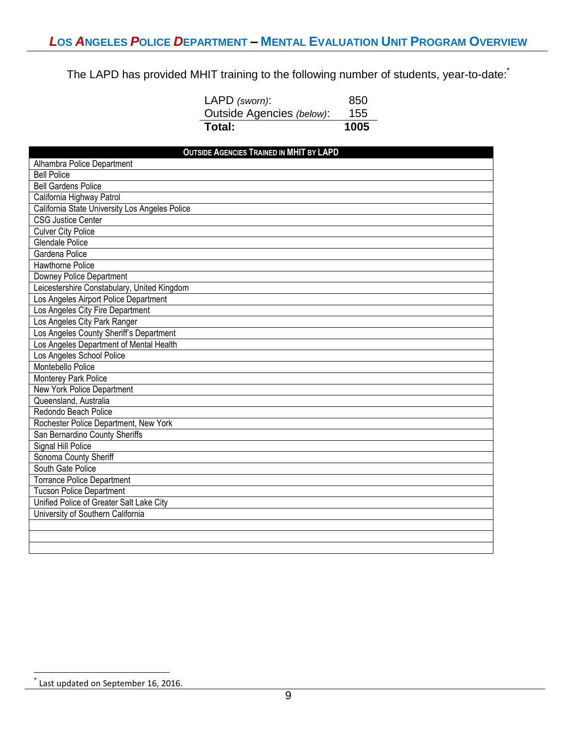The LAPD has provided MHIT training to the following number of students, year-to-date:

| Total:                    | 1005 |
|---------------------------|------|
| Outside Agencies (below): | 155  |
| LAPD (sworn):             | 850  |

| <b>OUTSIDE AGENCIES TRAINED IN MHIT BY LAPD</b> |  |  |
|-------------------------------------------------|--|--|
| Alhambra Police Department                      |  |  |
| <b>Bell Police</b>                              |  |  |
| <b>Bell Gardens Police</b>                      |  |  |
| California Highway Patrol                       |  |  |
| California State University Los Angeles Police  |  |  |
| <b>CSG Justice Center</b>                       |  |  |
| <b>Culver City Police</b>                       |  |  |
| <b>Glendale Police</b>                          |  |  |
| Gardena Police                                  |  |  |
| <b>Hawthorne Police</b>                         |  |  |
| Downey Police Department                        |  |  |
| Leicestershire Constabulary, United Kingdom     |  |  |
| Los Angeles Airport Police Department           |  |  |
| Los Angeles City Fire Department                |  |  |
| Los Angeles City Park Ranger                    |  |  |
| Los Angeles County Sheriff's Department         |  |  |
| Los Angeles Department of Mental Health         |  |  |
| Los Angeles School Police                       |  |  |
| Montebello Police                               |  |  |
| Monterey Park Police                            |  |  |
| New York Police Department                      |  |  |
| Queensland, Australia                           |  |  |
| Redondo Beach Police                            |  |  |
| Rochester Police Department, New York           |  |  |
| San Bernardino County Sheriffs                  |  |  |
| Signal Hill Police                              |  |  |
| Sonoma County Sheriff                           |  |  |
| South Gate Police                               |  |  |
| <b>Torrance Police Department</b>               |  |  |
| <b>Tucson Police Department</b>                 |  |  |
| Unified Police of Greater Salt Lake City        |  |  |
| University of Southern California               |  |  |
|                                                 |  |  |
|                                                 |  |  |
|                                                 |  |  |

 $\overline{\phantom{a}}$ 

<sup>\*</sup> Last updated on September 16, 2016.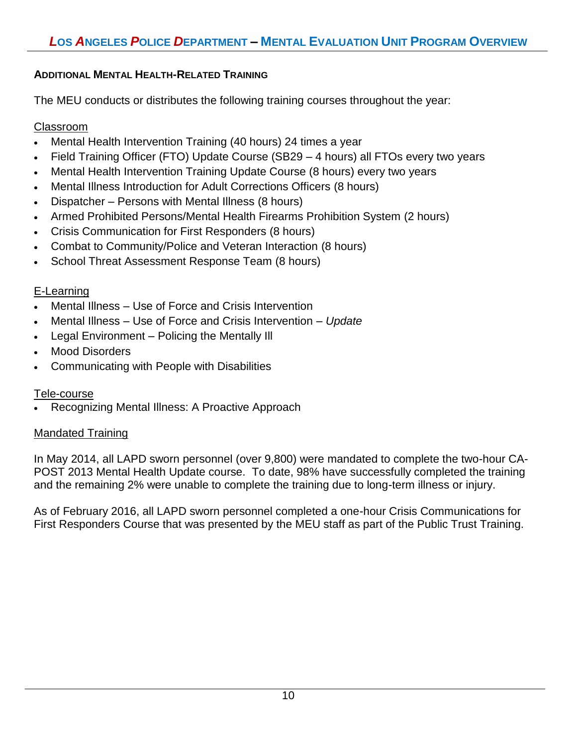# **ADDITIONAL MENTAL HEALTH-RELATED TRAINING**

The MEU conducts or distributes the following training courses throughout the year:

# Classroom

- Mental Health Intervention Training (40 hours) 24 times a year
- Field Training Officer (FTO) Update Course (SB29 4 hours) all FTOs every two years
- Mental Health Intervention Training Update Course (8 hours) every two years
- Mental Illness Introduction for Adult Corrections Officers (8 hours)
- Dispatcher Persons with Mental Illness (8 hours)
- Armed Prohibited Persons/Mental Health Firearms Prohibition System (2 hours)
- Crisis Communication for First Responders (8 hours)
- Combat to Community/Police and Veteran Interaction (8 hours)
- School Threat Assessment Response Team (8 hours)

# E-Learning

- Mental Illness Use of Force and Crisis Intervention
- Mental Illness Use of Force and Crisis Intervention *Update*
- Legal Environment Policing the Mentally Ill
- Mood Disorders
- Communicating with People with Disabilities

## Tele-course

Recognizing Mental Illness: A Proactive Approach

# Mandated Training

In May 2014, all LAPD sworn personnel (over 9,800) were mandated to complete the two-hour CA-POST 2013 Mental Health Update course. To date, 98% have successfully completed the training and the remaining 2% were unable to complete the training due to long-term illness or injury.

As of February 2016, all LAPD sworn personnel completed a one-hour Crisis Communications for First Responders Course that was presented by the MEU staff as part of the Public Trust Training.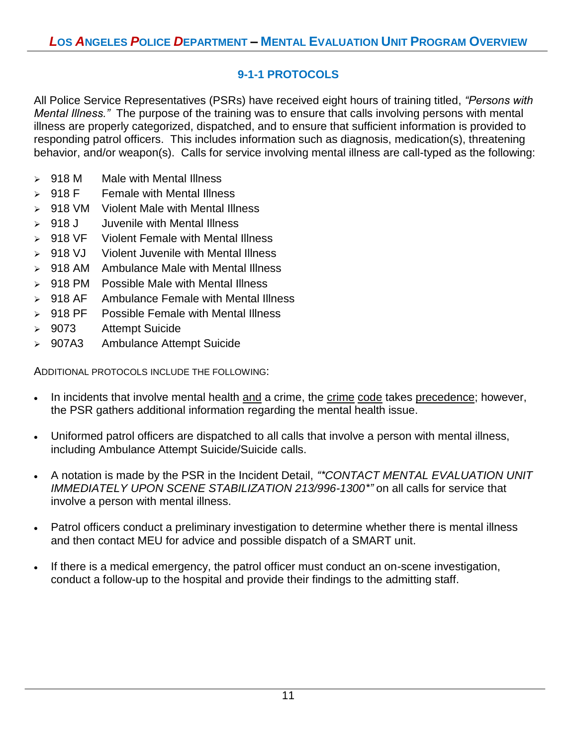# **9-1-1 PROTOCOLS**

All Police Service Representatives (PSRs) have received eight hours of training titled, *"Persons with Mental Illness."* The purpose of the training was to ensure that calls involving persons with mental illness are properly categorized, dispatched, and to ensure that sufficient information is provided to responding patrol officers. This includes information such as diagnosis, medication(s), threatening behavior, and/or weapon(s). Calls for service involving mental illness are call-typed as the following:

- $> 918 M$  Male with Mental Illness
- $\geq 918$  F Female with Mental Illness
- 918 VM Violent Male with Mental Illness
- $> 918$  J Juvenile with Mental Illness
- 918 VF Violent Female with Mental Illness
- 918 VJ Violent Juvenile with Mental Illness
- $> 918$  AM Ambulance Male with Mental Illness
- $> 918$  PM Possible Male with Mental Illness
- $\geq$  918 AF Ambulance Female with Mental Illness
- $> 918$  PF Possible Female with Mental Illness
- 9073 Attempt Suicide
- 907A3 Ambulance Attempt Suicide

ADDITIONAL PROTOCOLS INCLUDE THE FOLLOWING:

- . In incidents that involve mental health and a crime, the crime code takes precedence; however, the PSR gathers additional information regarding the mental health issue.
- Uniformed patrol officers are dispatched to all calls that involve a person with mental illness, including Ambulance Attempt Suicide/Suicide calls.
- A notation is made by the PSR in the Incident Detail, *"\*CONTACT MENTAL EVALUATION UNIT IMMEDIATELY UPON SCENE STABILIZATION 213/996-1300\*"* on all calls for service that involve a person with mental illness.
- Patrol officers conduct a preliminary investigation to determine whether there is mental illness and then contact MEU for advice and possible dispatch of a SMART unit.
- If there is a medical emergency, the patrol officer must conduct an on-scene investigation, conduct a follow-up to the hospital and provide their findings to the admitting staff.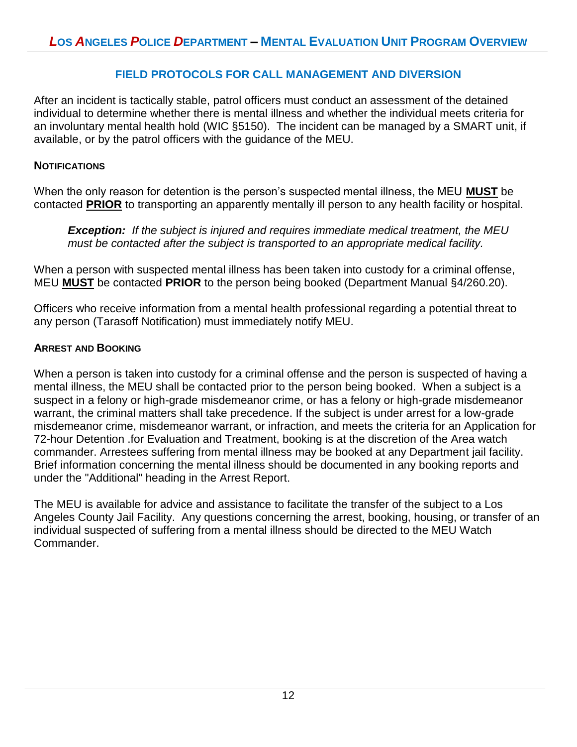#### **FIELD PROTOCOLS FOR CALL MANAGEMENT AND DIVERSION**

After an incident is tactically stable, patrol officers must conduct an assessment of the detained individual to determine whether there is mental illness and whether the individual meets criteria for an involuntary mental health hold (WIC §5150). The incident can be managed by a SMART unit, if available, or by the patrol officers with the guidance of the MEU.

#### **NOTIFICATIONS**

When the only reason for detention is the person's suspected mental illness, the MEU **MUST** be contacted **PRIOR** to transporting an apparently mentally ill person to any health facility or hospital.

*Exception: If the subject is injured and requires immediate medical treatment, the MEU must be contacted after the subject is transported to an appropriate medical facility.*

When a person with suspected mental illness has been taken into custody for a criminal offense, MEU **MUST** be contacted **PRIOR** to the person being booked (Department Manual §4/260.20).

Officers who receive information from a mental health professional regarding a potential threat to any person (Tarasoff Notification) must immediately notify MEU.

#### **ARREST AND BOOKING**

When a person is taken into custody for a criminal offense and the person is suspected of having a mental illness, the MEU shall be contacted prior to the person being booked. When a subject is a suspect in a felony or high-grade misdemeanor crime, or has a felony or high-grade misdemeanor warrant, the criminal matters shall take precedence. If the subject is under arrest for a low-grade misdemeanor crime, misdemeanor warrant, or infraction, and meets the criteria for an Application for 72-hour Detention .for Evaluation and Treatment, booking is at the discretion of the Area watch commander. Arrestees suffering from mental illness may be booked at any Department jail facility. Brief information concerning the mental illness should be documented in any booking reports and under the "Additional" heading in the Arrest Report.

The MEU is available for advice and assistance to facilitate the transfer of the subject to a Los Angeles County Jail Facility. Any questions concerning the arrest, booking, housing, or transfer of an individual suspected of suffering from a mental illness should be directed to the MEU Watch Commander.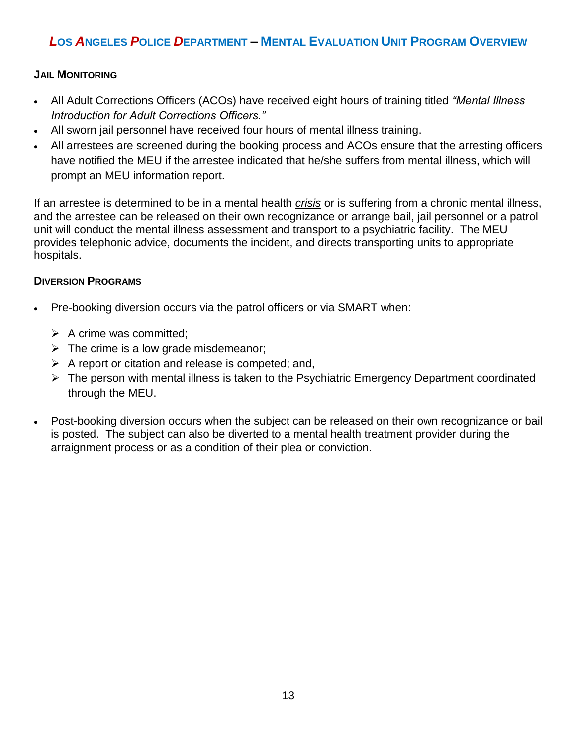## **JAIL MONITORING**

- All Adult Corrections Officers (ACOs) have received eight hours of training titled *"Mental Illness Introduction for Adult Corrections Officers."*
- All sworn jail personnel have received four hours of mental illness training.
- All arrestees are screened during the booking process and ACOs ensure that the arresting officers have notified the MEU if the arrestee indicated that he/she suffers from mental illness, which will prompt an MEU information report.

If an arrestee is determined to be in a mental health *crisis* or is suffering from a chronic mental illness, and the arrestee can be released on their own recognizance or arrange bail, jail personnel or a patrol unit will conduct the mental illness assessment and transport to a psychiatric facility. The MEU provides telephonic advice, documents the incident, and directs transporting units to appropriate hospitals.

# **DIVERSION PROGRAMS**

- Pre-booking diversion occurs via the patrol officers or via SMART when:
	- $\triangleright$  A crime was committed:
	- $\triangleright$  The crime is a low grade misdemeanor;
	- $\triangleright$  A report or citation and release is competed; and,
	- The person with mental illness is taken to the Psychiatric Emergency Department coordinated through the MEU.
- Post-booking diversion occurs when the subject can be released on their own recognizance or bail is posted. The subject can also be diverted to a mental health treatment provider during the arraignment process or as a condition of their plea or conviction.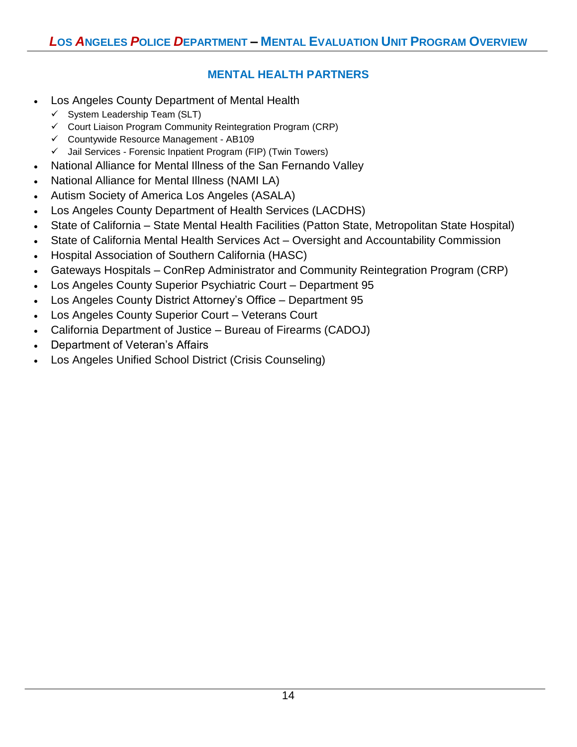# **MENTAL HEALTH PARTNERS**

- Los Angeles County Department of Mental Health
	- $\checkmark$  System Leadership Team (SLT)
	- $\checkmark$  Court Liaison Program Community Reintegration Program (CRP)
	- Countywide Resource Management AB109
	- $\checkmark$  Jail Services Forensic Inpatient Program (FIP) (Twin Towers)
- National Alliance for Mental Illness of the San Fernando Valley
- National Alliance for Mental Illness (NAMI LA)
- Autism Society of America Los Angeles (ASALA)
- Los Angeles County Department of Health Services (LACDHS)
- State of California State Mental Health Facilities (Patton State, Metropolitan State Hospital)
- State of California Mental Health Services Act Oversight and Accountability Commission
- Hospital Association of Southern California (HASC)
- Gateways Hospitals ConRep Administrator and Community Reintegration Program (CRP)
- Los Angeles County Superior Psychiatric Court Department 95
- Los Angeles County District Attorney's Office Department 95
- Los Angeles County Superior Court Veterans Court
- California Department of Justice Bureau of Firearms (CADOJ)
- Department of Veteran's Affairs
- Los Angeles Unified School District (Crisis Counseling)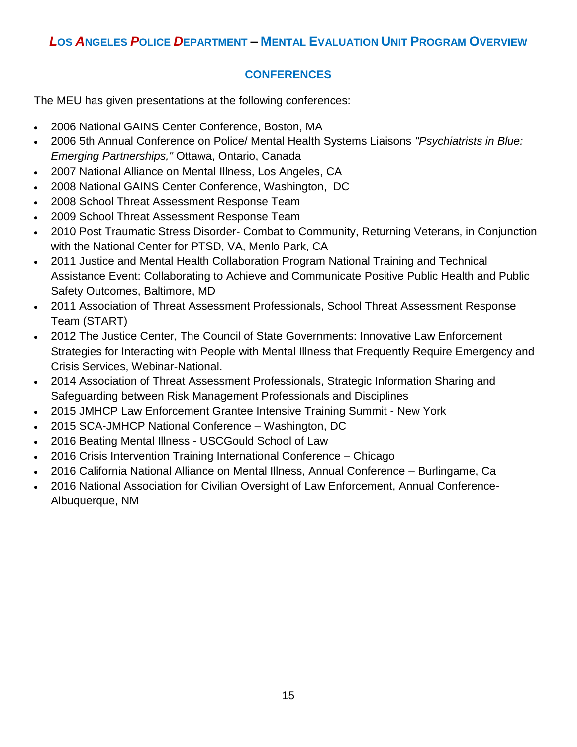# **CONFERENCES**

The MEU has given presentations at the following conferences:

- 2006 National GAINS Center Conference, Boston, MA
- 2006 5th Annual Conference on Police/ Mental Health Systems Liaisons *"Psychiatrists in Blue: Emerging Partnerships,"* Ottawa, Ontario, Canada
- 2007 National Alliance on Mental Illness, Los Angeles, CA
- 2008 National GAINS Center Conference, Washington, DC
- 2008 School Threat Assessment Response Team
- 2009 School Threat Assessment Response Team
- 2010 Post Traumatic Stress Disorder- Combat to Community, Returning Veterans, in Conjunction with the National Center for PTSD, VA, Menlo Park, CA
- 2011 Justice and Mental Health Collaboration Program National Training and Technical Assistance Event: Collaborating to Achieve and Communicate Positive Public Health and Public Safety Outcomes, Baltimore, MD
- 2011 Association of Threat Assessment Professionals, School Threat Assessment Response Team (START)
- 2012 The Justice Center, The Council of State Governments: Innovative Law Enforcement Strategies for Interacting with People with Mental Illness that Frequently Require Emergency and Crisis Services, Webinar-National.
- 2014 Association of Threat Assessment Professionals, Strategic Information Sharing and Safeguarding between Risk Management Professionals and Disciplines
- 2015 JMHCP Law Enforcement Grantee Intensive Training Summit New York
- 2015 SCA-JMHCP National Conference Washington, DC
- 2016 Beating Mental Illness USCGould School of Law
- 2016 Crisis Intervention Training International Conference Chicago
- 2016 California National Alliance on Mental Illness, Annual Conference Burlingame, Ca
- 2016 National Association for Civilian Oversight of Law Enforcement, Annual Conference-Albuquerque, NM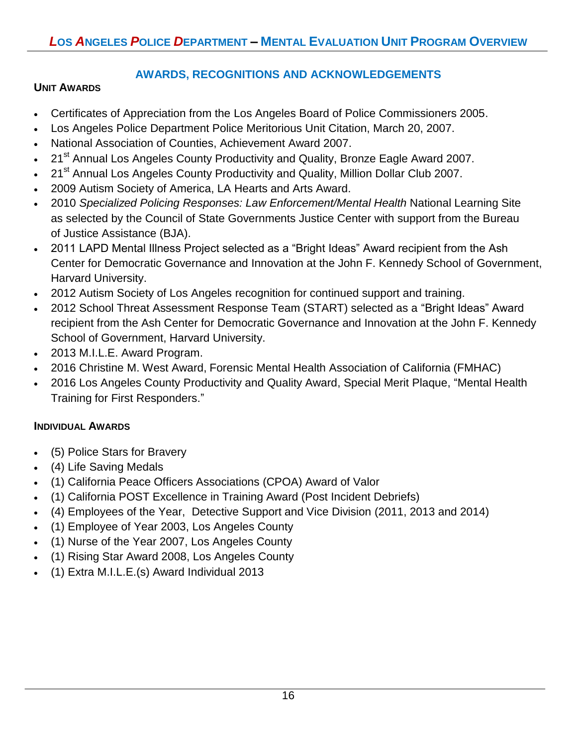# **AWARDS, RECOGNITIONS AND ACKNOWLEDGEMENTS**

# **UNIT AWARDS**

- Certificates of Appreciation from the Los Angeles Board of Police Commissioners 2005.
- Los Angeles Police Department Police Meritorious Unit Citation, March 20, 2007.
- National Association of Counties, Achievement Award 2007.
- 21<sup>st</sup> Annual Los Angeles County Productivity and Quality, Bronze Eagle Award 2007.
- 21<sup>st</sup> Annual Los Angeles County Productivity and Quality, Million Dollar Club 2007.
- 2009 Autism Society of America, LA Hearts and Arts Award.
- 2010 *Specialized Policing Responses: Law Enforcement/Mental Health* National Learning Site as selected by the Council of State Governments Justice Center with support from the Bureau of Justice Assistance (BJA).
- 2011 LAPD Mental Illness Project selected as a "Bright Ideas" Award recipient from the Ash Center for Democratic Governance and Innovation at the John F. Kennedy School of Government, Harvard University.
- 2012 Autism Society of Los Angeles recognition for continued support and training.
- 2012 School Threat Assessment Response Team (START) selected as a "Bright Ideas" Award recipient from the Ash Center for Democratic Governance and Innovation at the John F. Kennedy School of Government, Harvard University.
- 2013 M.I.L.E. Award Program.
- 2016 Christine M. West Award, Forensic Mental Health Association of California (FMHAC)
- 2016 Los Angeles County Productivity and Quality Award, Special Merit Plaque, "Mental Health Training for First Responders."

# **INDIVIDUAL AWARDS**

- (5) Police Stars for Bravery
- (4) Life Saving Medals
- (1) California Peace Officers Associations (CPOA) Award of Valor
- (1) California POST Excellence in Training Award (Post Incident Debriefs)
- (4) Employees of the Year, Detective Support and Vice Division (2011, 2013 and 2014)
- (1) Employee of Year 2003, Los Angeles County
- (1) Nurse of the Year 2007, Los Angeles County
- (1) Rising Star Award 2008, Los Angeles County
- (1) Extra M.I.L.E.(s) Award Individual 2013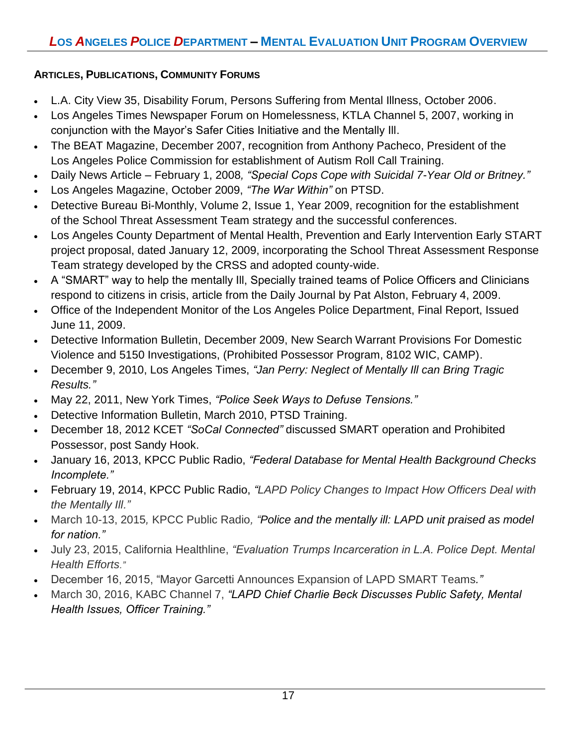# **ARTICLES, PUBLICATIONS, COMMUNITY FORUMS**

- L.A. City View 35, Disability Forum, Persons Suffering from Mental Illness, October 2006.
- Los Angeles Times Newspaper Forum on Homelessness, KTLA Channel 5, 2007, working in conjunction with the Mayor's Safer Cities Initiative and the Mentally Ill.
- The BEAT Magazine, December 2007, recognition from Anthony Pacheco, President of the Los Angeles Police Commission for establishment of Autism Roll Call Training.
- Daily News Article February 1, 2008*, "Special Cops Cope with Suicidal 7-Year Old or Britney."*
- Los Angeles Magazine, October 2009, *"The War Within"* on PTSD.
- Detective Bureau Bi-Monthly, Volume 2, Issue 1, Year 2009, recognition for the establishment of the School Threat Assessment Team strategy and the successful conferences.
- Los Angeles County Department of Mental Health, Prevention and Early Intervention Early START project proposal, dated January 12, 2009, incorporating the School Threat Assessment Response Team strategy developed by the CRSS and adopted county-wide.
- A "SMART" way to help the mentally Ill, Specially trained teams of Police Officers and Clinicians respond to citizens in crisis, article from the Daily Journal by Pat Alston, February 4, 2009.
- Office of the Independent Monitor of the Los Angeles Police Department, Final Report, Issued June 11, 2009.
- Detective Information Bulletin, December 2009, New Search Warrant Provisions For Domestic Violence and 5150 Investigations, (Prohibited Possessor Program, 8102 WIC, CAMP).
- December 9, 2010, Los Angeles Times, *"Jan Perry: Neglect of Mentally Ill can Bring Tragic Results."*
- May 22, 2011, New York Times, *"Police Seek Ways to Defuse Tensions."*
- Detective Information Bulletin, March 2010, PTSD Training.
- December 18, 2012 KCET *"SoCal Connected"* discussed SMART operation and Prohibited Possessor, post Sandy Hook.
- January 16, 2013, KPCC Public Radio, *"Federal Database for Mental Health Background Checks Incomplete."*
- February 19, 2014, KPCC Public Radio, *["LAPD Policy Changes to Impact How Officers Deal with](http://www.scpr.org/programs/take-two/2014/02/19/36111/lapd-policy-change-to-impact-how-officers-deal-wit/)  [the Mentally Ill.](http://www.scpr.org/programs/take-two/2014/02/19/36111/lapd-policy-change-to-impact-how-officers-deal-wit/)"*
- March 10-13, 2015*,* KPCC Public Radio*, "Police and the mentally ill: LAPD unit praised as model for nation."*
- July 23, 2015, California Healthline, *"Evaluation Trumps Incarceration in L.A. Police Dept. Mental Health Efforts."*
- December 16, 2015, "Mayor Garcetti Announces Expansion of LAPD SMART Teams*."*
- March 30, 2016, KABC Channel 7, *"LAPD Chief Charlie Beck Discusses Public Safety, Mental Health Issues, Officer Training."*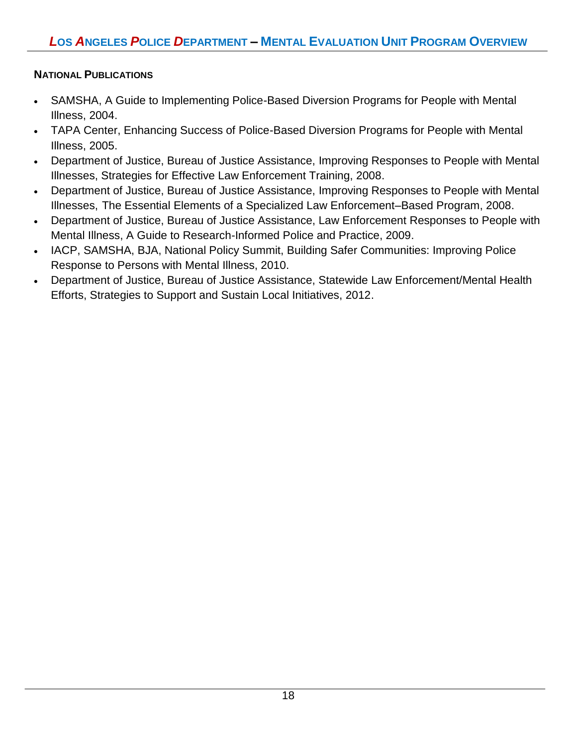# **NATIONAL PUBLICATIONS**

- SAMSHA, A Guide to Implementing Police-Based Diversion Programs for People with Mental Illness, 2004.
- TAPA Center, Enhancing Success of Police-Based Diversion Programs for People with Mental Illness, 2005.
- Department of Justice, Bureau of Justice Assistance, Improving Responses to People with Mental Illnesses, Strategies for Effective Law Enforcement Training, 2008.
- Department of Justice, Bureau of Justice Assistance, Improving Responses to People with Mental Illnesses, The Essential Elements of a Specialized Law Enforcement–Based Program, 2008.
- Department of Justice, Bureau of Justice Assistance, Law Enforcement Responses to People with Mental Illness, A Guide to Research-Informed Police and Practice, 2009.
- IACP, SAMSHA, BJA, National Policy Summit, Building Safer Communities: Improving Police Response to Persons with Mental Illness, 2010.
- Department of Justice, Bureau of Justice Assistance, Statewide Law Enforcement/Mental Health Efforts, Strategies to Support and Sustain Local Initiatives, 2012.